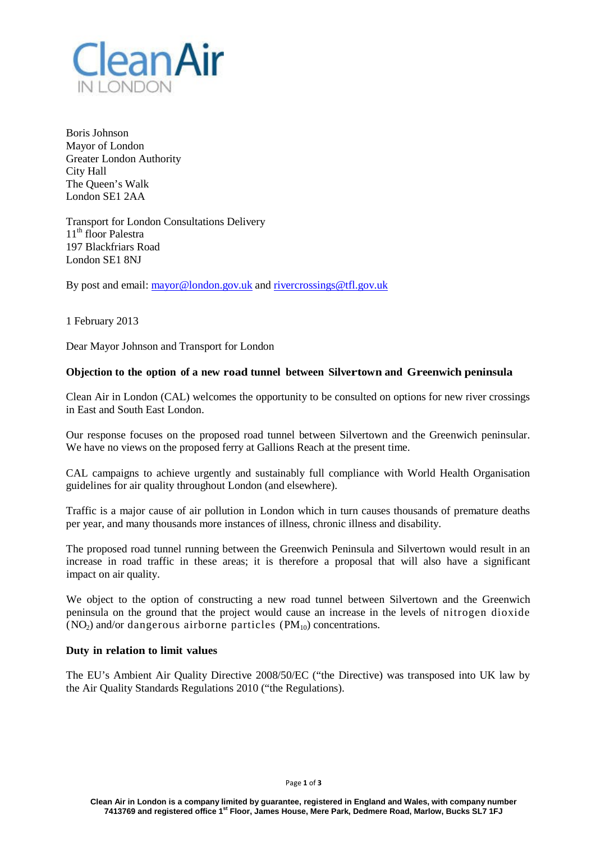

Boris Johnson Mayor of London Greater London Authority City Hall The Queen's Walk London SE1 2AA

Transport for London Consultations Delivery 11<sup>th</sup> floor Palestra 197 Blackfriars Road London SE1 8NJ

By post and email: [mayor@london.gov.uk](mailto:mayor@london.gov.uk) and [rivercrossings@tfl.gov.uk](mailto:rivercrossings@tfl.gov.uk)

1 February 2013

Dear Mayor Johnson and Transport for London

## **Objection to the option of a new road tunnel between Silvertown and Greenwich peninsula**

Clean Air in London (CAL) welcomes the opportunity to be consulted on options for new river crossings in East and South East London.

Our response focuses on the proposed road tunnel between Silvertown and the Greenwich peninsular. We have no views on the proposed ferry at Gallions Reach at the present time.

CAL campaigns to achieve urgently and sustainably full compliance with World Health Organisation guidelines for air quality throughout London (and elsewhere).

Traffic is a major cause of air pollution in London which in turn causes thousands of premature deaths per year, and many thousands more instances of illness, chronic illness and disability.

The proposed road tunnel running between the Greenwich Peninsula and Silvertown would result in an increase in road traffic in these areas; it is therefore a proposal that will also have a significant impact on air quality.

We object to the option of constructing a new road tunnel between Silvertown and the Greenwich peninsula on the ground that the project would cause an increase in the levels of nitrogen dioxide  $(NO<sub>2</sub>)$  and/or dangerous airborne particles  $(PM<sub>10</sub>)$  concentrations.

# **Duty in relation to limit values**

The EU's Ambient Air Quality Directive 2008/50/EC ("the Directive) was transposed into UK law by the Air Quality Standards Regulations 2010 ("the Regulations).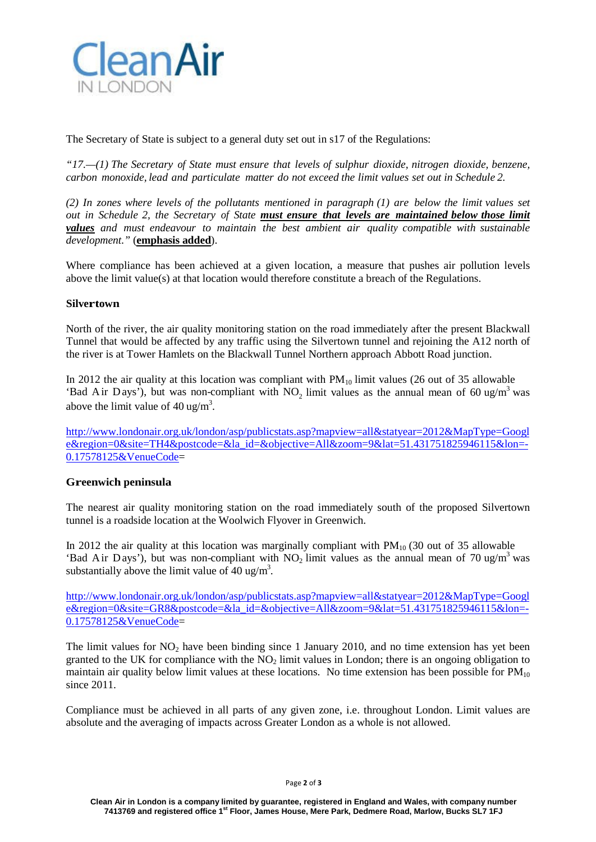

The Secretary of State is subject to a general duty set out in s17 of the Regulations:

*"17.—(1) The Secretary of State must ensure that levels of sulphur dioxide, nitrogen dioxide, benzene, carbon monoxide, lead and particulate matter do not exceed the limit values set out in Schedule 2.*

*(2) In zones where levels of the pollutants mentioned in paragraph (1) are below the limit values set out in Schedule 2, the Secretary of State must ensure that levels are maintained below those limit values and must endeavour to maintain the best ambient air quality compatible with sustainable development."* (**emphasis added**).

Where compliance has been achieved at a given location, a measure that pushes air pollution levels above the limit value(s) at that location would therefore constitute a breach of the Regulations.

## **Silvertown**

North of the river, the air quality monitoring station on the road immediately after the present Blackwall Tunnel that would be affected by any traffic using the Silvertown tunnel and rejoining the A12 north of the river is at Tower Hamlets on the Blackwall Tunnel Northern approach Abbott Road junction.

In 2012 the air quality at this location was compliant with  $PM_{10}$  limit values (26 out of 35 allowable 'Bad Air Days'), but was non-compliant with NO<sub>2</sub> limit values as the annual mean of 60 ug/m<sup>3</sup> was above the limit value of  $40 \text{ ug/m}^3$ .

[http://www.londonair.org.uk/london/asp/publicstats.asp?mapview=all&statyear=2012&MapType=Googl](http://www.londonair.org.uk/london/asp/publicstats.asp?mapview=all&statyear=2012&MapType=Google®ion=0&site=TH4&postcode=&la_id=&objective=All&zoom=9&lat=51.431751825946115&lon=-0.17578125&VenueCode) [e&region=0&site=TH4&postcode=&la\\_id=&objective=All&zoom=9&lat=51.431751825946115&lon=-](http://www.londonair.org.uk/london/asp/publicstats.asp?mapview=all&statyear=2012&MapType=Google®ion=0&site=TH4&postcode=&la_id=&objective=All&zoom=9&lat=51.431751825946115&lon=-0.17578125&VenueCode) [0.17578125&VenueCode=](http://www.londonair.org.uk/london/asp/publicstats.asp?mapview=all&statyear=2012&MapType=Google®ion=0&site=TH4&postcode=&la_id=&objective=All&zoom=9&lat=51.431751825946115&lon=-0.17578125&VenueCode)

### **Greenwich peninsula**

The nearest air quality monitoring station on the road immediately south of the proposed Silvertown tunnel is a roadside location at the Woolwich Flyover in Greenwich.

In 2012 the air quality at this location was marginally compliant with  $PM_{10}$  (30 out of 35 allowable 'Bad Air Days'), but was non-compliant with NO<sub>2</sub> limit values as the annual mean of 70 ug/m<sup>3</sup> was substantially above the limit value of  $40 \text{ ug/m}^3$ .

[http://www.londonair.org.uk/london/asp/publicstats.asp?mapview=all&statyear=2012&MapType=Googl](http://www.londonair.org.uk/london/asp/publicstats.asp?mapview=all&statyear=2012&MapType=Google®ion=0&site=GR8&postcode=&la_id=&objective=All&zoom=9&lat=51.431751825946115&lon=-0.17578125&VenueCode) [e&region=0&site=GR8&postcode=&la\\_id=&objective=All&zoom=9&lat=51.431751825946115&lon=-](http://www.londonair.org.uk/london/asp/publicstats.asp?mapview=all&statyear=2012&MapType=Google®ion=0&site=GR8&postcode=&la_id=&objective=All&zoom=9&lat=51.431751825946115&lon=-0.17578125&VenueCode) [0.17578125&VenueCode=](http://www.londonair.org.uk/london/asp/publicstats.asp?mapview=all&statyear=2012&MapType=Google®ion=0&site=GR8&postcode=&la_id=&objective=All&zoom=9&lat=51.431751825946115&lon=-0.17578125&VenueCode)

The limit values for  $NO<sub>2</sub>$  have been binding since 1 January 2010, and no time extension has yet been granted to the UK for compliance with the  $NO<sub>2</sub>$  limit values in London; there is an ongoing obligation to maintain air quality below limit values at these locations. No time extension has been possible for  $PM_{10}$ since 2011.

Compliance must be achieved in all parts of any given zone, i.e. throughout London. Limit values are absolute and the averaging of impacts across Greater London as a whole is not allowed.

#### Page **2** of **3**